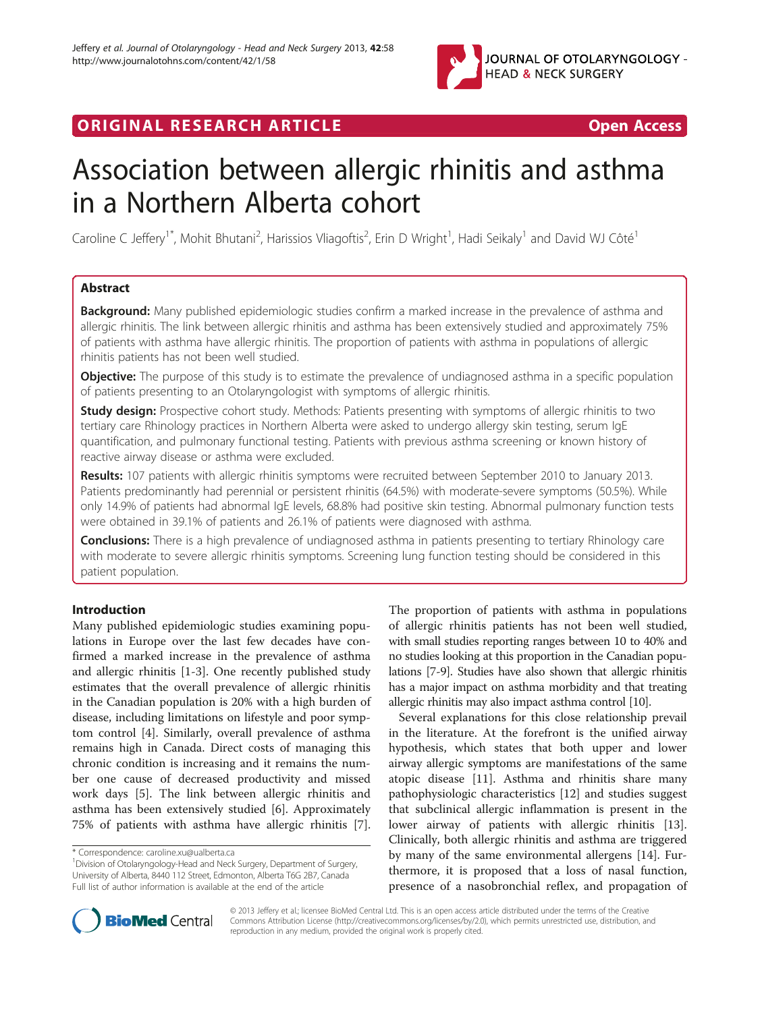

ORIGINAL RESEARCH ARTICLE **Example 20 and Service Contract ARTICLE** 20 and 20 and 20 and 20 and 20 and 20 and 20 and 20 and 20 and 20 and 20 and 20 and 20 and 20 and 20 and 20 and 20 and 20 and 20 and 20 and 20 and 20 and

# Association between allergic rhinitis and asthma in a Northern Alberta cohort

Caroline C Jeffery<sup>1\*</sup>, Mohit Bhutani<sup>2</sup>, Harissios Vliagoftis<sup>2</sup>, Erin D Wright<sup>1</sup>, Hadi Seikaly<sup>1</sup> and David WJ Côté<sup>1</sup>

# Abstract

**Background:** Many published epidemiologic studies confirm a marked increase in the prevalence of asthma and allergic rhinitis. The link between allergic rhinitis and asthma has been extensively studied and approximately 75% of patients with asthma have allergic rhinitis. The proportion of patients with asthma in populations of allergic rhinitis patients has not been well studied.

Objective: The purpose of this study is to estimate the prevalence of undiagnosed asthma in a specific population of patients presenting to an Otolaryngologist with symptoms of allergic rhinitis.

**Study design:** Prospective cohort study. Methods: Patients presenting with symptoms of allergic rhinitis to two tertiary care Rhinology practices in Northern Alberta were asked to undergo allergy skin testing, serum IgE quantification, and pulmonary functional testing. Patients with previous asthma screening or known history of reactive airway disease or asthma were excluded.

Results: 107 patients with allergic rhinitis symptoms were recruited between September 2010 to January 2013. Patients predominantly had perennial or persistent rhinitis (64.5%) with moderate-severe symptoms (50.5%). While only 14.9% of patients had abnormal IgE levels, 68.8% had positive skin testing. Abnormal pulmonary function tests were obtained in 39.1% of patients and 26.1% of patients were diagnosed with asthma.

**Conclusions:** There is a high prevalence of undiagnosed asthma in patients presenting to tertiary Rhinology care with moderate to severe allergic rhinitis symptoms. Screening lung function testing should be considered in this patient population.

## Introduction

Many published epidemiologic studies examining populations in Europe over the last few decades have confirmed a marked increase in the prevalence of asthma and allergic rhinitis [[1-3](#page-4-0)]. One recently published study estimates that the overall prevalence of allergic rhinitis in the Canadian population is 20% with a high burden of disease, including limitations on lifestyle and poor symptom control [[4\]](#page-4-0). Similarly, overall prevalence of asthma remains high in Canada. Direct costs of managing this chronic condition is increasing and it remains the number one cause of decreased productivity and missed work days [\[5\]](#page-4-0). The link between allergic rhinitis and asthma has been extensively studied [[6\]](#page-4-0). Approximately 75% of patients with asthma have allergic rhinitis [\[7](#page-4-0)].

The proportion of patients with asthma in populations of allergic rhinitis patients has not been well studied, with small studies reporting ranges between 10 to 40% and no studies looking at this proportion in the Canadian populations [\[7-9\]](#page-4-0). Studies have also shown that allergic rhinitis has a major impact on asthma morbidity and that treating allergic rhinitis may also impact asthma control [\[10\]](#page-4-0).

Several explanations for this close relationship prevail in the literature. At the forefront is the unified airway hypothesis, which states that both upper and lower airway allergic symptoms are manifestations of the same atopic disease [\[11](#page-4-0)]. Asthma and rhinitis share many pathophysiologic characteristics [[12\]](#page-4-0) and studies suggest that subclinical allergic inflammation is present in the lower airway of patients with allergic rhinitis [\[13](#page-4-0)]. Clinically, both allergic rhinitis and asthma are triggered by many of the same environmental allergens [\[14](#page-4-0)]. Furthermore, it is proposed that a loss of nasal function, presence of a nasobronchial reflex, and propagation of



© 2013 Jeffery et al.; licensee BioMed Central Ltd. This is an open access article distributed under the terms of the Creative Commons Attribution License [\(http://creativecommons.org/licenses/by/2.0\)](http://creativecommons.org/licenses/by/2.0), which permits unrestricted use, distribution, and reproduction in any medium, provided the original work is properly cited.

<sup>\*</sup> Correspondence: [caroline.xu@ualberta.ca](mailto:caroline.xu@ualberta.ca) <sup>1</sup>

<sup>&</sup>lt;sup>1</sup> Division of Otolaryngology-Head and Neck Surgery, Department of Surgery, University of Alberta, 8440 112 Street, Edmonton, Alberta T6G 2B7, Canada Full list of author information is available at the end of the article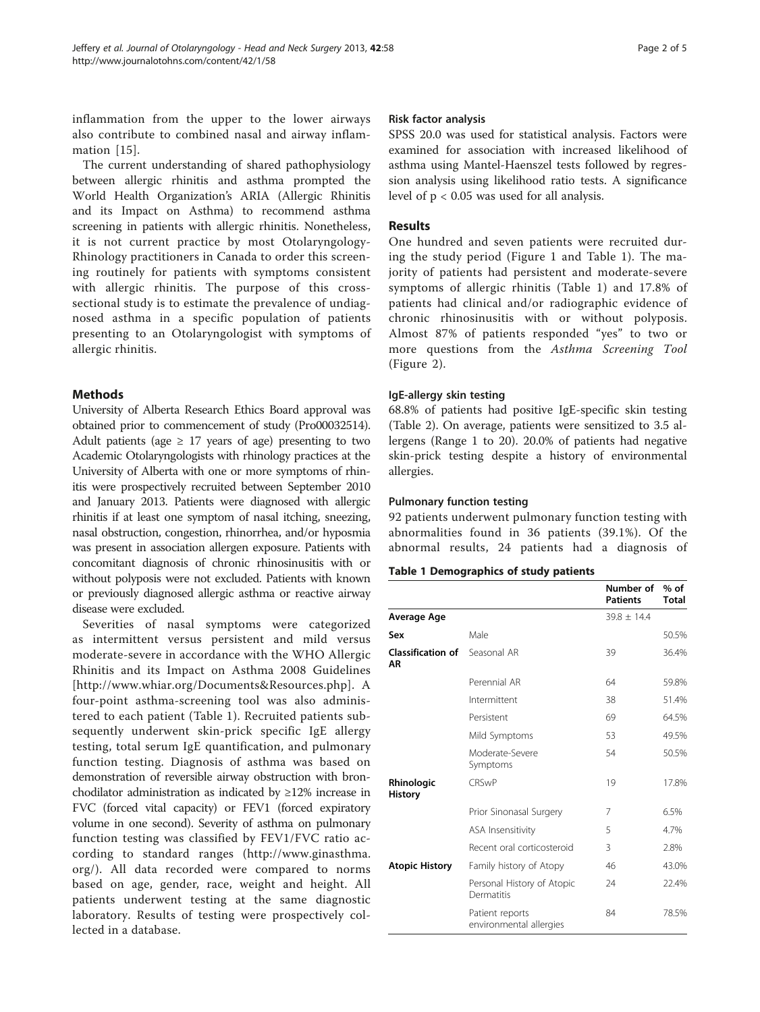inflammation from the upper to the lower airways also contribute to combined nasal and airway inflammation [[15](#page-4-0)].

The current understanding of shared pathophysiology between allergic rhinitis and asthma prompted the World Health Organization's ARIA (Allergic Rhinitis and its Impact on Asthma) to recommend asthma screening in patients with allergic rhinitis. Nonetheless, it is not current practice by most Otolaryngology-Rhinology practitioners in Canada to order this screening routinely for patients with symptoms consistent with allergic rhinitis. The purpose of this crosssectional study is to estimate the prevalence of undiagnosed asthma in a specific population of patients presenting to an Otolaryngologist with symptoms of allergic rhinitis.

## Methods

University of Alberta Research Ethics Board approval was obtained prior to commencement of study (Pro00032514). Adult patients (age  $\geq$  17 years of age) presenting to two Academic Otolaryngologists with rhinology practices at the University of Alberta with one or more symptoms of rhinitis were prospectively recruited between September 2010 and January 2013. Patients were diagnosed with allergic rhinitis if at least one symptom of nasal itching, sneezing, nasal obstruction, congestion, rhinorrhea, and/or hyposmia was present in association allergen exposure. Patients with concomitant diagnosis of chronic rhinosinusitis with or without polyposis were not excluded. Patients with known or previously diagnosed allergic asthma or reactive airway disease were excluded.

Severities of nasal symptoms were categorized as intermittent versus persistent and mild versus moderate-severe in accordance with the WHO Allergic Rhinitis and its Impact on Asthma 2008 Guidelines [<http://www.whiar.org/Documents&Resources.php>]. A four-point asthma-screening tool was also administered to each patient (Table 1). Recruited patients subsequently underwent skin-prick specific IgE allergy testing, total serum IgE quantification, and pulmonary function testing. Diagnosis of asthma was based on demonstration of reversible airway obstruction with bronchodilator administration as indicated by  $\geq$ 12% increase in FVC (forced vital capacity) or FEV1 (forced expiratory volume in one second). Severity of asthma on pulmonary function testing was classified by FEV1/FVC ratio according to standard ranges ([http://www.ginasthma.](http://www.ginasthma.org/) [org/\)](http://www.ginasthma.org/). All data recorded were compared to norms based on age, gender, race, weight and height. All patients underwent testing at the same diagnostic laboratory. Results of testing were prospectively collected in a database.

### Risk factor analysis

SPSS 20.0 was used for statistical analysis. Factors were examined for association with increased likelihood of asthma using Mantel-Haenszel tests followed by regression analysis using likelihood ratio tests. A significance level of p < 0.05 was used for all analysis.

## Results

One hundred and seven patients were recruited during the study period (Figure [1](#page-2-0) and Table 1). The majority of patients had persistent and moderate-severe symptoms of allergic rhinitis (Table 1) and 17.8% of patients had clinical and/or radiographic evidence of chronic rhinosinusitis with or without polyposis. Almost 87% of patients responded "yes" to two or more questions from the Asthma Screening Tool (Figure [2\)](#page-2-0).

## IgE-allergy skin testing

68.8% of patients had positive IgE-specific skin testing (Table [2](#page-3-0)). On average, patients were sensitized to 3.5 allergens (Range 1 to 20). 20.0% of patients had negative skin-prick testing despite a history of environmental allergies.

## Pulmonary function testing

92 patients underwent pulmonary function testing with abnormalities found in 36 patients (39.1%). Of the abnormal results, 24 patients had a diagnosis of

## Table 1 Demographics of study patients

|                                |                                            | Number of<br><b>Patients</b> | $%$ of<br><b>Total</b> |
|--------------------------------|--------------------------------------------|------------------------------|------------------------|
| Average Age                    |                                            | $39.8 + 14.4$                |                        |
| Sex                            | Male                                       |                              | 50.5%                  |
| <b>Classification of</b><br>ΑR | Seasonal AR                                | 39                           | 36.4%                  |
|                                | Perennial AR                               | 64                           | 59.8%                  |
|                                | Intermittent                               | 38                           | 51.4%                  |
|                                | Persistent                                 | 69                           | 64.5%                  |
|                                | Mild Symptoms                              | 53                           | 49.5%                  |
|                                | Moderate-Severe<br>Symptoms                | 54                           | 50.5%                  |
| Rhinologic<br><b>History</b>   | <b>CRSwP</b>                               | 19                           | 17.8%                  |
|                                | Prior Sinonasal Surgery                    | 7                            | 6.5%                   |
|                                | ASA Insensitivity                          | 5                            | 4.7%                   |
|                                | Recent oral corticosteroid                 | 3                            | 2.8%                   |
| <b>Atopic History</b>          | Family history of Atopy                    | 46                           | 43.0%                  |
|                                | Personal History of Atopic<br>Dermatitis   | 24                           | 22.4%                  |
|                                | Patient reports<br>environmental allergies | 84                           | 78.5%                  |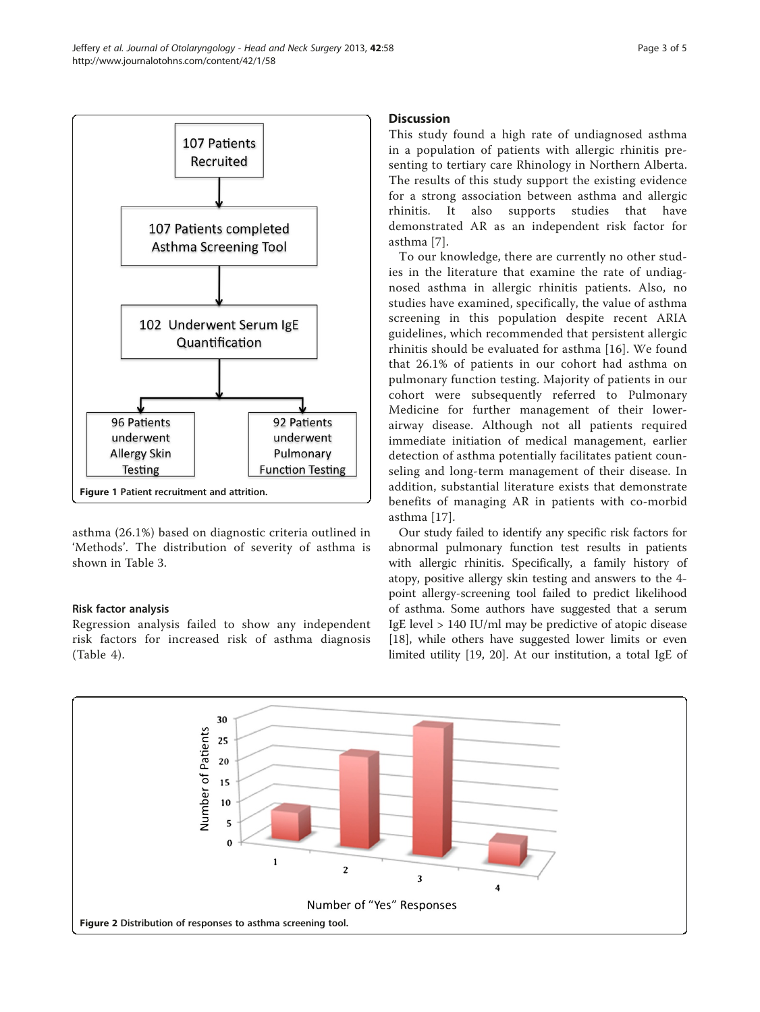<span id="page-2-0"></span>

asthma (26.1%) based on diagnostic criteria outlined in 'Methods'. The distribution of severity of asthma is shown in Table [3.](#page-3-0)

## Risk factor analysis

Regression analysis failed to show any independent risk factors for increased risk of asthma diagnosis (Table [4](#page-3-0)).

### Discussion

This study found a high rate of undiagnosed asthma in a population of patients with allergic rhinitis presenting to tertiary care Rhinology in Northern Alberta. The results of this study support the existing evidence for a strong association between asthma and allergic rhinitis. It also supports studies that have demonstrated AR as an independent risk factor for asthma [[7](#page-4-0)].

To our knowledge, there are currently no other studies in the literature that examine the rate of undiagnosed asthma in allergic rhinitis patients. Also, no studies have examined, specifically, the value of asthma screening in this population despite recent ARIA guidelines, which recommended that persistent allergic rhinitis should be evaluated for asthma [\[16\]](#page-4-0). We found that 26.1% of patients in our cohort had asthma on pulmonary function testing. Majority of patients in our cohort were subsequently referred to Pulmonary Medicine for further management of their lowerairway disease. Although not all patients required immediate initiation of medical management, earlier detection of asthma potentially facilitates patient counseling and long-term management of their disease. In addition, substantial literature exists that demonstrate benefits of managing AR in patients with co-morbid asthma [[17](#page-4-0)].

Our study failed to identify any specific risk factors for abnormal pulmonary function test results in patients with allergic rhinitis. Specifically, a family history of atopy, positive allergy skin testing and answers to the 4 point allergy-screening tool failed to predict likelihood of asthma. Some authors have suggested that a serum IgE level > 140 IU/ml may be predictive of atopic disease [[18\]](#page-4-0), while others have suggested lower limits or even limited utility [[19, 20\]](#page-4-0). At our institution, a total IgE of

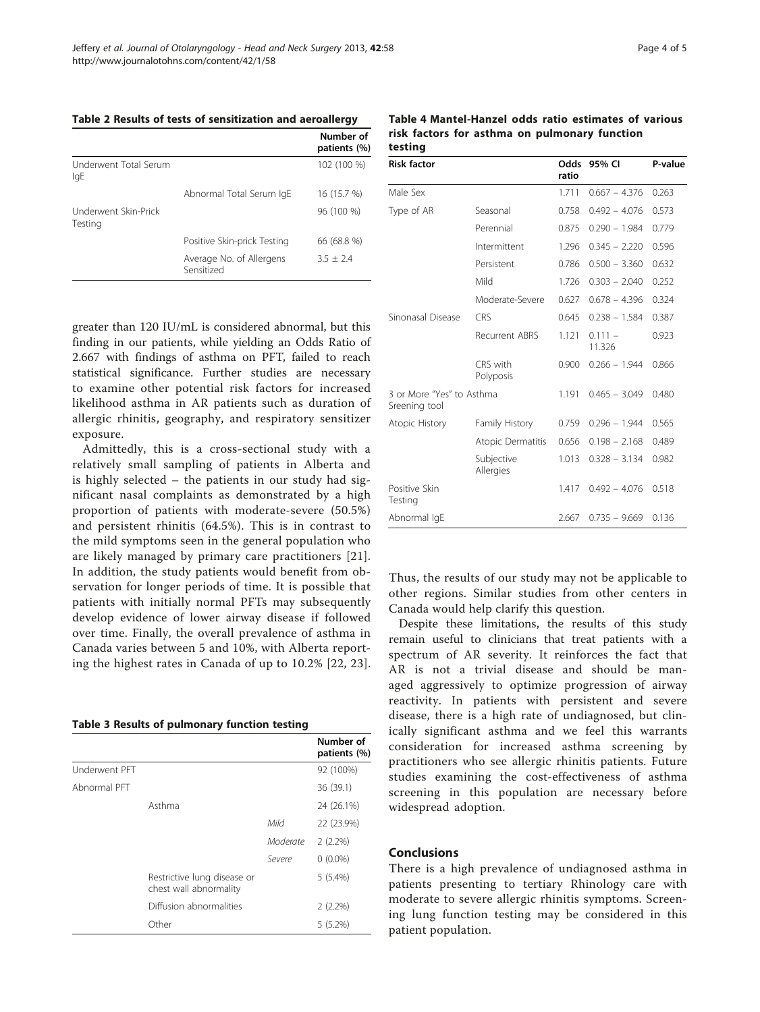<span id="page-3-0"></span>

|  |  |  | Table 2 Results of tests of sensitization and aeroallergy |
|--|--|--|-----------------------------------------------------------|
|--|--|--|-----------------------------------------------------------|

|                                 |                                        | Number of<br>patients (%) |
|---------------------------------|----------------------------------------|---------------------------|
| Underwent Total Serum<br>lgE    |                                        | 102 (100 %)               |
|                                 | Abnormal Total Serum IgE               | 16 (15.7 %)               |
| Underwent Skin-Prick<br>Testing |                                        | 96 (100 %)                |
|                                 | Positive Skin-prick Testing            | 66 (68.8 %)               |
|                                 | Average No. of Allergens<br>Sensitized | $3.5 + 2.4$               |
|                                 |                                        |                           |

greater than 120 IU/mL is considered abnormal, but this finding in our patients, while yielding an Odds Ratio of 2.667 with findings of asthma on PFT, failed to reach statistical significance. Further studies are necessary to examine other potential risk factors for increased likelihood asthma in AR patients such as duration of allergic rhinitis, geography, and respiratory sensitizer exposure.

Admittedly, this is a cross-sectional study with a relatively small sampling of patients in Alberta and is highly selected – the patients in our study had significant nasal complaints as demonstrated by a high proportion of patients with moderate-severe (50.5%) and persistent rhinitis (64.5%). This is in contrast to the mild symptoms seen in the general population who are likely managed by primary care practitioners [[21](#page-4-0)]. In addition, the study patients would benefit from observation for longer periods of time. It is possible that patients with initially normal PFTs may subsequently develop evidence of lower airway disease if followed over time. Finally, the overall prevalence of asthma in Canada varies between 5 and 10%, with Alberta reporting the highest rates in Canada of up to 10.2% [\[22, 23](#page-4-0)].

|  |  |  |  | Table 3 Results of pulmonary function testing |  |  |
|--|--|--|--|-----------------------------------------------|--|--|
|--|--|--|--|-----------------------------------------------|--|--|

|               |                                                       |          | Number of<br>patients (%) |
|---------------|-------------------------------------------------------|----------|---------------------------|
| Underwent PFT |                                                       |          | 92 (100%)                 |
| Abnormal PFT  |                                                       |          | 36 (39.1)                 |
|               | Asthma                                                |          | 24 (26.1%)                |
|               |                                                       | Mild     | 22 (23.9%)                |
|               |                                                       | Moderate | $2(2.2\%)$                |
|               |                                                       | Severe   | $0(0.0\%)$                |
|               | Restrictive lung disease or<br>chest wall abnormality |          | $5(5.4\%)$                |
|               | Diffusion abnormalities                               |          | $2(2.2\%)$                |
|               | Other                                                 |          | $5(5.2\%)$                |

| Table 4 Mantel-Hanzel odds ratio estimates of various |  |  |  |  |  |  |
|-------------------------------------------------------|--|--|--|--|--|--|
| risk factors for asthma on pulmonary function         |  |  |  |  |  |  |
| testina                                               |  |  |  |  |  |  |

| <b>Risk factor</b>                         |                         | Odds<br>ratio | 95% CI              | P-value |
|--------------------------------------------|-------------------------|---------------|---------------------|---------|
| Male Sex                                   |                         | 1.711         | $0.667 - 4.376$     | 0.263   |
| Type of AR                                 | Seasonal                | 0.758         | $0.492 - 4.076$     | 0.573   |
|                                            | Perennial               | 0.875         | $0.290 - 1.984$     | 0.779   |
|                                            | Intermittent            | 1.296         | $0.345 - 2.220$     | 0.596   |
|                                            | Persistent              | 0.786         | $0.500 - 3.360$     | 0.632   |
|                                            | Mild                    | 1.726         | $0.303 - 2.040$     | 0.252   |
|                                            | Moderate-Severe         | 0.627         | $0.678 - 4.396$     | 0.324   |
| Sinonasal Disease                          | <b>CRS</b>              | 0.645         | $0.238 - 1.584$     | 0.387   |
|                                            | Recurrent ABRS          | 1.121         | $0.111 -$<br>11.326 | 0.923   |
|                                            | CRS with<br>Polyposis   | 0.900         | $0.266 - 1.944$     | 0.866   |
| 3 or More "Yes" to Asthma<br>Sreening tool |                         | 1.191         | $0.465 - 3.049$     | 0.480   |
| Atopic History                             | Family History          | 0.759         | $0.296 - 1.944$     | 0.565   |
|                                            | Atopic Dermatitis       | 0.656         | $0.198 - 2.168$     | 0.489   |
|                                            | Subjective<br>Allergies | 1.013         | $0.328 - 3.134$     | 0.982   |
| Positive Skin<br>Testing                   |                         | 1.417         | $0.492 - 4.076$     | 0.518   |
| Abnormal IqE                               |                         | 2.667         | $0.735 - 9.669$     | 0.136   |

Thus, the results of our study may not be applicable to other regions. Similar studies from other centers in Canada would help clarify this question.

Despite these limitations, the results of this study remain useful to clinicians that treat patients with a spectrum of AR severity. It reinforces the fact that AR is not a trivial disease and should be managed aggressively to optimize progression of airway reactivity. In patients with persistent and severe disease, there is a high rate of undiagnosed, but clinically significant asthma and we feel this warrants consideration for increased asthma screening by practitioners who see allergic rhinitis patients. Future studies examining the cost-effectiveness of asthma screening in this population are necessary before widespread adoption.

#### Conclusions

There is a high prevalence of undiagnosed asthma in patients presenting to tertiary Rhinology care with moderate to severe allergic rhinitis symptoms. Screening lung function testing may be considered in this patient population.